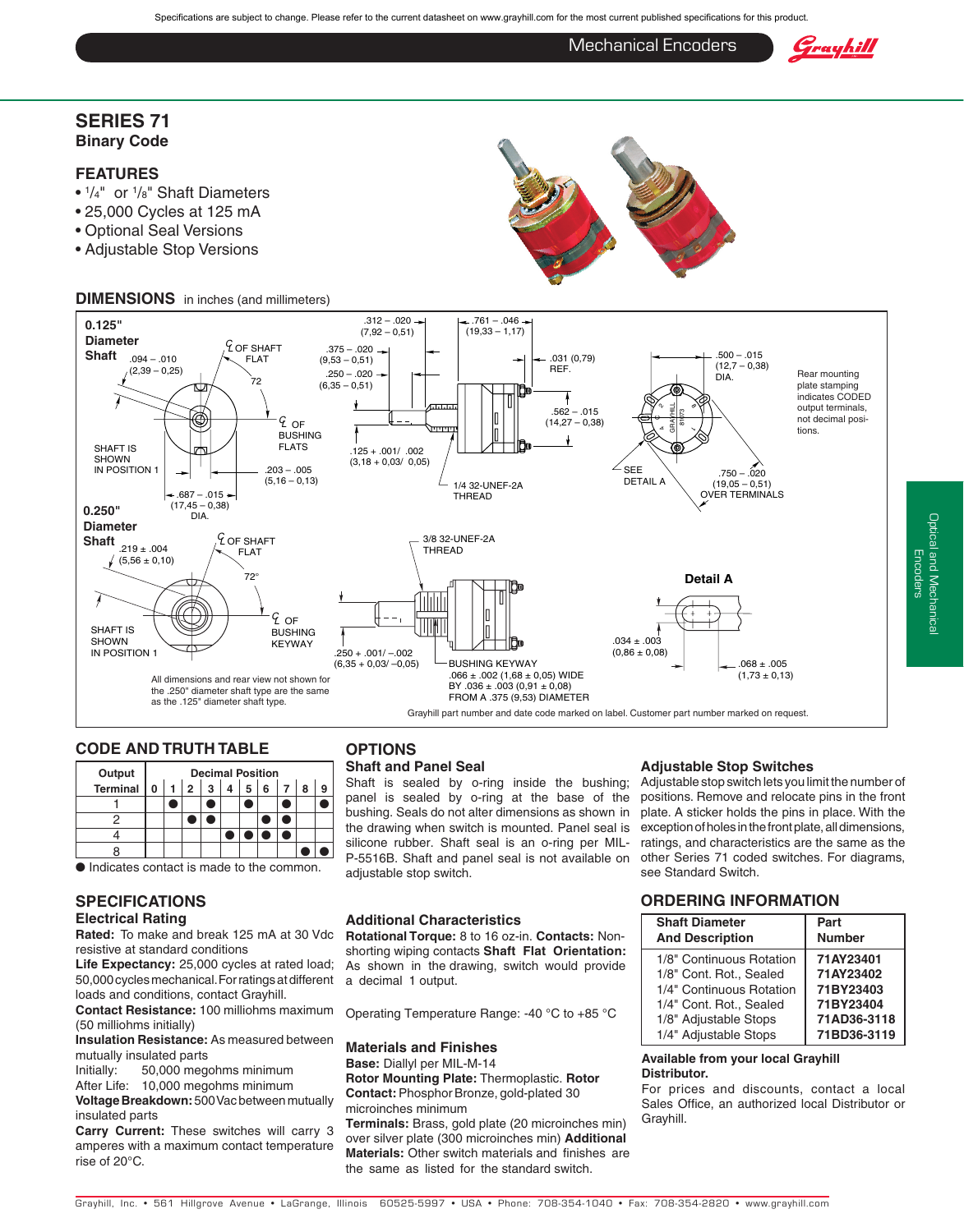Specifications are subject to change. Please refer to the current datasheet on www.grayhill.com for the most current published specifications for this product.

Mechanical Encoders

## Grayhill

### **Series 71 Binary Code**

### **Features**

- $\frac{1}{4}$ " or  $\frac{1}{8}$ " Shaft Diameters
- 25,000 Cycles at 125 mA
- Optional Seal Versions
- Adjustable Stop Versions

### **DIMENSIONS** in inches (and millimeters)



### **Code and Truth Table**

| Output   | <b>Decimal Position</b> |  |                |   |   |   |   |  |  |
|----------|-------------------------|--|----------------|---|---|---|---|--|--|
| Terminal | 0                       |  | $\overline{2}$ | 3 | 4 | 5 | 6 |  |  |
|          |                         |  |                |   |   |   |   |  |  |
|          |                         |  |                |   |   |   |   |  |  |
|          |                         |  |                |   |   |   |   |  |  |
|          |                         |  |                |   |   |   |   |  |  |

#### ● Indicates contact is made to the common.

### **Specifications**

### **Electrical Rating**

**Rated:** To make and break 125 mA at 30 Vdc resistive at standard conditions

**Life Expectancy:** 25,000 cycles at rated load; 50,000 cycles mechanical. For ratings at different loads and conditions, contact Grayhill.

**Contact Resistance:** 100 milliohms maximum (50 milliohms initially)

**Insulation Resistance:** As measured between mutually insulated parts

Initially: 50,000 megohms minimum

After Life: 10,000 megohms minimum

**Voltage Breakdown:** 500 Vac between mutually insulated parts

**Carry Current:** These switches will carry 3 amperes with a maximum contact temperature rise of 20°C.

### **OPTIONS**

### **Shaft and Panel Seal**

Shaft is sealed by o-ring inside the bushing; panel is sealed by o-ring at the base of the bushing. Seals do not alter dimensions as shown in the drawing when switch is mounted. Panel seal is silicone rubber. Shaft seal is an o-ring per MIL-P-5516B. Shaft and panel seal is not available on adjustable stop switch.

### **additional Characteristics**

**rotational Torque:** 8 to 16 oz-in. **Contacts:** Nonshorting wiping contacts **Shaft flat Orientation:** As shown in the drawing, switch would provide a decimal 1 output.

Operating Temperature Range: -40 °C to +85 °C

### **Materials and finishes**

**base:** Diallyl per MIL-M-14 **rotor Mounting Plate:** Thermoplastic. **rotor** 

**Contact:**Phosphor Bronze, gold-plated 30 microinches minimum

**Terminals:** Brass, gold plate (20 microinches min) over silver plate (300 microinches min) **additional Materials:** Other switch materials and finishes are the same as listed for the standard switch.

### **Adjustable Stop Switches**

Adjustable stop switch lets you limit the number of positions. Remove and relocate pins in the front plate. A sticker holds the pins in place. With the exception of holes in the front plate, all dimensions, ratings, and characteristics are the same as the other Series 71 coded switches. For diagrams, see Standard Switch.

### **Ordering Information**

| <b>Shaft Diameter</b>    | Part          |  |  |  |  |
|--------------------------|---------------|--|--|--|--|
| <b>And Description</b>   | <b>Number</b> |  |  |  |  |
| 1/8" Continuous Rotation | 71AY23401     |  |  |  |  |
| 1/8" Cont. Rot., Sealed  | 71AY23402     |  |  |  |  |
| 1/4" Continuous Rotation | 71BY23403     |  |  |  |  |
| 1/4" Cont. Rot., Sealed  | 71BY23404     |  |  |  |  |
| 1/8" Adjustable Stops    | 71AD36-3118   |  |  |  |  |
| 1/4" Adjustable Stops    | 71BD36-3119   |  |  |  |  |

### **Available from your local Grayhill Distributor.**

For prices and discounts, contact a local Sales Office, an authorized local Distributor or Grayhill.